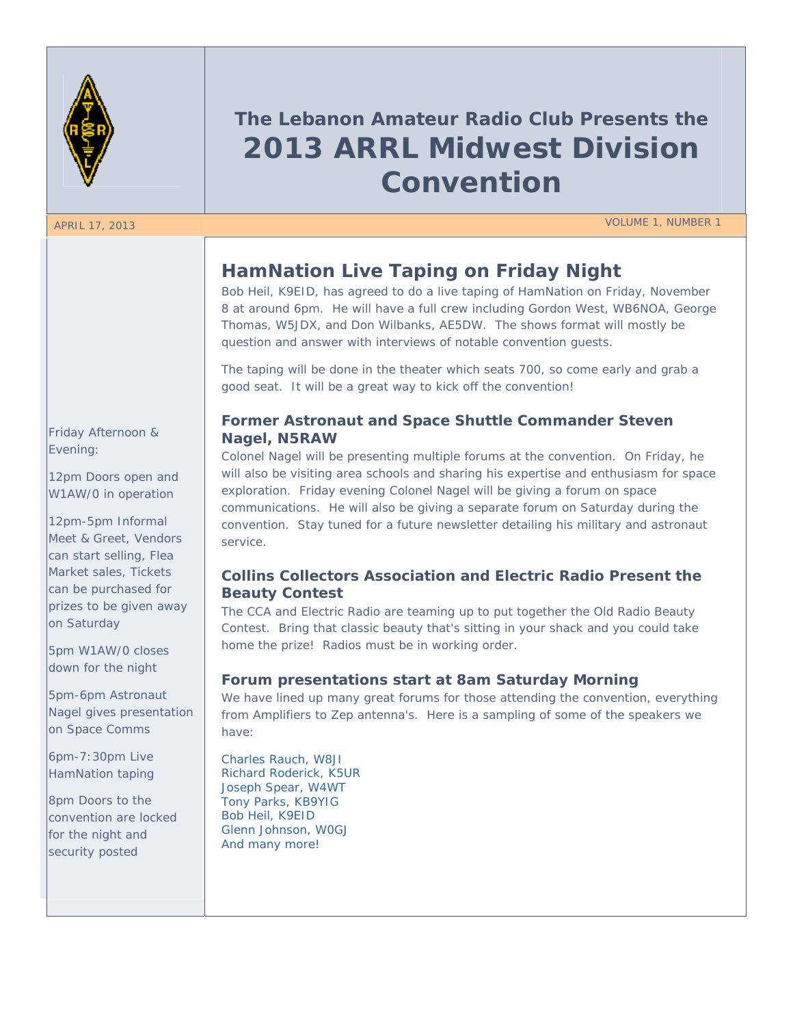

# **The Lebanon Amateur Radio Club Presents the 2013 ARRL Midwest Division Convention**

APRIL 17, 2013 VOLUME 1, NUMBER 1

# **HamNation Live Taping on Friday Night**

Bob Heil, K9EID, has agreed to do a live taping of HamNation on Friday, November 8 at around 6pm. He will have a full crew including Gordon West, WB6NOA, George Thomas, W5JDX, and Don Wilbanks, AE5DW. The shows format will mostly be question and answer with interviews of notable convention guests.

The taping will be done in the theater which seats 700, so come early and grab a good seat. It will be a great way to kick off the convention!

### **Former Astronaut and Space Shuttle Commander Steven Nagel, N5RAW**

Colonel Nagel will be presenting multiple forums at the convention. On Friday, he will also be visiting area schools and sharing his expertise and enthusiasm for space exploration. Friday evening Colonel Nagel will be giving a forum on space communications. He will also be giving a separate forum on Saturday during the convention. Stay tuned for a future newsletter detailing his military and astronaut service.

### **Collins Collectors Association and Electric Radio Present the Beauty Contest**

The CCA and Electric Radio are teaming up to put together the Old Radio Beauty Contest. Bring that classic beauty that's sitting in your shack and you could take home the prize! Radios must be in working order.

### **Forum presentations start at 8am Saturday Morning**

We have lined up many great forums for those attending the convention, everything from Amplifiers to Zep antenna's. Here is a sampling of some of the speakers we have:

Charles Rauch, W8JI Richard Roderick, K5UR Joseph Spear, W4WT Tony Parks, KB9YIG Bob Heil, K9EID Glenn Johnson, W0GJ And many more!

### Friday Afternoon & Evening:

12pm Doors open and W1AW/0 in operation

12pm-5pm Informal Meet & Greet, Vendors can start selling, Flea Market sales, Tickets can be purchased for prizes to be given away on Saturday

5pm W1AW/0 closes down for the night

5pm-6pm Astronaut Nagel gives presentation on Space Comms

6pm-7:30pm Live HamNation taping

8pm Doors to the convention are locked for the night and security posted